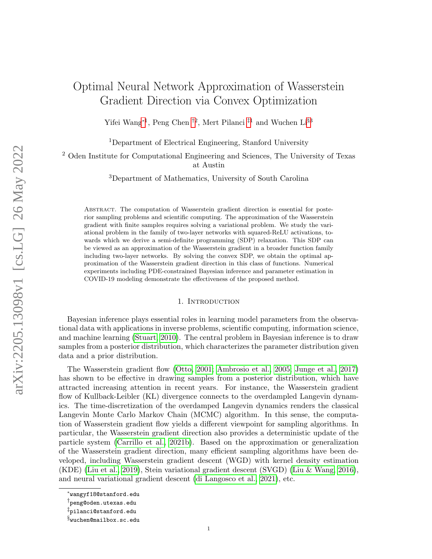# Optimal Neural Network Approximation of Wasserstein Gradient Direction via Convex Optimization

Yifei Wang<sup>[∗](#page-0-0)1</sup>, Peng Chen <sup>[†](#page-0-1)2</sup>, Mert Pilanci <sup>[‡](#page-0-2)1</sup> and Wuchen Li<sup>[§](#page-0-3)3</sup>

<sup>1</sup>Department of Electrical Engineering, Stanford University

<sup>2</sup> Oden Institute for Computational Engineering and Sciences, The University of Texas at Austin

<sup>3</sup>Department of Mathematics, University of South Carolina

Abstract. The computation of Wasserstein gradient direction is essential for posterior sampling problems and scientific computing. The approximation of the Wasserstein gradient with finite samples requires solving a variational problem. We study the variational problem in the family of two-layer networks with squared-ReLU activations, towards which we derive a semi-definite programming (SDP) relaxation. This SDP can be viewed as an approximation of the Wasserstein gradient in a broader function family including two-layer networks. By solving the convex SDP, we obtain the optimal approximation of the Wasserstein gradient direction in this class of functions. Numerical experiments including PDE-constrained Bayesian inference and parameter estimation in COVID-19 modeling demonstrate the effectiveness of the proposed method.

## 1. INTRODUCTION

Bayesian inference plays essential roles in learning model parameters from the observational data with applications in inverse problems, scientific computing, information science, and machine learning [\(Stuart, 2010\)](#page-13-0). The central problem in Bayesian inference is to draw samples from a posterior distribution, which characterizes the parameter distribution given data and a prior distribution.

The Wasserstein gradient flow [\(Otto, 2001;](#page-12-0) [Ambrosio et al., 2005;](#page-11-0) [Junge et al., 2017\)](#page-12-1) has shown to be effective in drawing samples from a posterior distribution, which have attracted increasing attention in recent years. For instance, the Wasserstein gradient flow of Kullback-Leibler (KL) divergence connects to the overdampled Langevin dynamics. The time-discretization of the overdamped Langevin dynamics renders the classical Langevin Monte Carlo Markov Chain (MCMC) algorithm. In this sense, the computation of Wasserstein gradient flow yields a different viewpoint for sampling algorithms. In particular, the Wasserstein gradient direction also provides a deterministic update of the particle system [\(Carrillo et al., 2021b\)](#page-11-1). Based on the approximation or generalization of the Wasserstein gradient direction, many efficient sampling algorithms have been developed, including Wasserstein gradient descent (WGD) with kernel density estimation (KDE) [\(Liu et al., 2019\)](#page-12-2), Stein variational gradient descent (SVGD) [\(Liu & Wang, 2016\)](#page-12-3), and neural variational gradient descent [\(di Langosco et al., 2021\)](#page-11-2), etc.

<span id="page-0-0"></span><sup>∗</sup>wangyf18@stanford.edu

<span id="page-0-1"></span><sup>†</sup>peng@oden.utexas.edu

<span id="page-0-2"></span><sup>‡</sup>pilanci@stanford.edu

<span id="page-0-3"></span> $\S$ wuchen@mailbox.sc.edu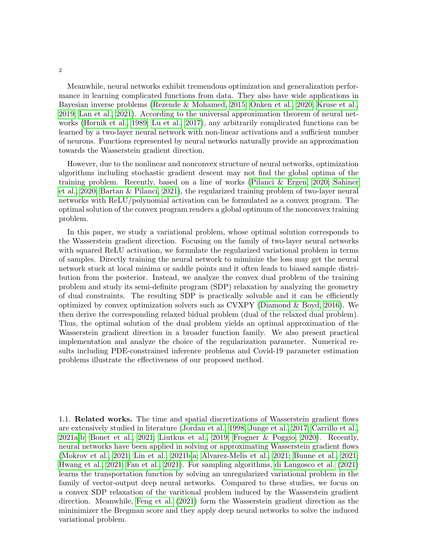Meanwhile, neural networks exhibit tremendous optimization and generalization performance in learning complicated functions from data. They also have wide applications in Bayesian inverse problems [\(Rezende & Mohamed, 2015;](#page-12-4) [Onken et al., 2020;](#page-12-5) [Kruse et al.,](#page-12-6) [2019;](#page-12-6) [Lan et al., 2021\)](#page-12-7). According to the universal approximation theorem of neural networks [\(Hornik et al., 1989;](#page-11-3) [Lu et al., 2017\)](#page-12-8), any arbitrarily complicated functions can be learned by a two-layer neural network with non-linear activations and a sufficient number of neurons. Functions represented by neural networks naturally provide an approximation towards the Wasserstein gradient direction.

However, due to the nonlinear and nonconvex structure of neural networks, optimization algorithms including stochastic gradient descent may not find the global optima of the training problem. Recently, based on a line of works [\(Pilanci & Ergen, 2020;](#page-12-9) [Sahiner](#page-12-10) [et al., 2020;](#page-12-10) [Bartan & Pilanci, 2021\)](#page-11-4), the regularized training problem of two-layer neural networks with ReLU/polynomial activation can be formulated as a convex program. The optimal solution of the convex program renders a global optimum of the nonconvex training problem.

In this paper, we study a variational problem, whose optimal solution corresponds to the Wasserstein gradient direction. Focusing on the family of two-layer neural networks with squared ReLU activation, we formulate the regularized variational problem in terms of samples. Directly training the neural network to miminize the loss may get the neural network stuck at local minima or saddle points and it often leads to biased sample distribution from the posterior. Instead, we analyze the convex dual problem of the training problem and study its semi-definite program (SDP) relaxation by analyzing the geometry of dual constraints. The resulting SDP is practically solvable and it can be efficiently optimized by convex optimization solvers such as CVXPY [\(Diamond & Boyd, 2016\)](#page-11-5). We then derive the corresponding relaxed bidual problem (dual of the relaxed dual problem). Thus, the optimal solution of the dual problem yields an optimal approximation of the Wasserstein gradient direction in a broader function family. We also present practical implementation and analyze the choice of the regularization parameter. Numerical results including PDE-constrained inference problems and Covid-19 parameter estimation problems illustrate the effectiveness of our proposed method.

1.1. Related works. The time and spatial discretizations of Wasserstein gradient flows are extensively studied in literature [\(Jordan et al., 1998;](#page-12-11) [Junge et al., 2017;](#page-12-1) [Carrillo et al.,](#page-11-6) [2021a,](#page-11-6)[b;](#page-11-1) [Bonet et al., 2021;](#page-11-7) [Liutkus et al., 2019;](#page-12-12) [Frogner & Poggio, 2020\)](#page-11-8). Recently, neural networks have been applied in solving or approximating Wasserstein gradient flows [\(Mokrov et al., 2021;](#page-12-13) [Lin et al., 2021b,](#page-12-14)[a;](#page-12-15) [Alvarez-Melis et al., 2021;](#page-11-9) [Bunne et al., 2021;](#page-11-10) [Hwang et al., 2021;](#page-12-16) [Fan et al., 2021\)](#page-11-11). For sampling algorithms, [di Langosco et al.](#page-11-2) [\(2021\)](#page-11-2) learns the transportation function by solving an unregularized variational problem in the family of vector-output deep neural networks. Compared to these studies, we focus on a convex SDP relaxation of the varitional problem induced by the Wasserstein gradient direction. Meanwhile, [Feng et al.](#page-11-12) [\(2021\)](#page-11-12) form the Wasserstein gradient direction as the mininimizer the Bregman score and they apply deep neural networks to solve the induced variational problem.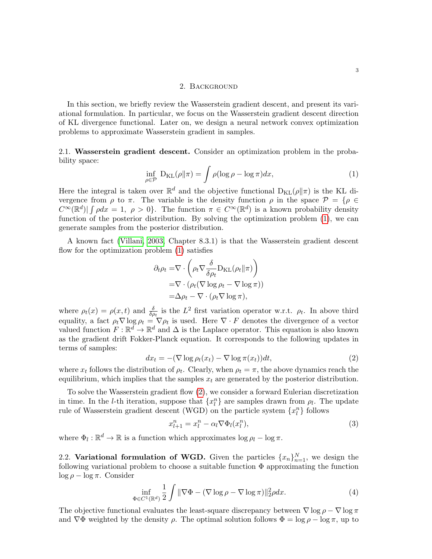## 2. Background

In this section, we briefly review the Wasserstein gradient descent, and present its variational formulation. In particular, we focus on the Wasserstein gradient descent direction of KL divergence functional. Later on, we design a neural network convex optimization problems to approximate Wasserstein gradient in samples.

2.1. Wasserstein gradient descent. Consider an optimization problem in the probability space:

<span id="page-2-0"></span>
$$
\inf_{\rho \in \mathcal{P}} \mathcal{D}_{\text{KL}}(\rho \| \pi) = \int \rho(\log \rho - \log \pi) dx, \tag{1}
$$

Here the integral is taken over  $\mathbb{R}^d$  and the objective functional  $D_{KL}(\rho||\pi)$  is the KL divergence from  $\rho$  to  $\pi$ . The variable is the density function  $\rho$  in the space  $\mathcal{P} = \{ \rho \in$  $C^{\infty}(\mathbb{R}^d)$   $\int \rho dx = 1, \ \rho > 0$ . The function  $\pi \in C^{\infty}(\mathbb{R}^d)$  is a known probability density function of the posterior distribution. By solving the optimization problem [\(1\)](#page-2-0), we can generate samples from the posterior distribution.

A known fact [\(Villani, 2003,](#page-13-1) Chapter 8.3.1) is that the Wasserstein gradient descent flow for the optimization problem [\(1\)](#page-2-0) satisfies

$$
\partial_t \rho_t = \nabla \cdot \left( \rho_t \nabla \frac{\delta}{\delta \rho_t} \mathcal{D}_{\mathrm{KL}}(\rho_t \| \pi) \right)
$$
  
=  $\nabla \cdot (\rho_t (\nabla \log \rho_t - \nabla \log \pi))$   
=  $\Delta \rho_t - \nabla \cdot (\rho_t \nabla \log \pi),$ 

where  $\rho_t(x) = \rho(x, t)$  and  $\frac{\delta}{\delta \rho_t}$  is the  $L^2$  first variation operator w.r.t.  $\rho_t$ . In above third equality, a fact  $\rho_t \nabla \log \rho_t = \nabla \rho_t$  is used. Here  $\nabla \cdot F$  denotes the divergence of a vector valued function  $F: \mathbb{R}^d \to \mathbb{R}^d$  and  $\Delta$  is the Laplace operator. This equation is also known as the gradient drift Fokker-Planck equation. It corresponds to the following updates in terms of samples:

<span id="page-2-1"></span>
$$
dx_t = -(\nabla \log \rho_t(x_t) - \nabla \log \pi(x_t))dt, \tag{2}
$$

where  $x_t$  follows the distribution of  $\rho_t$ . Clearly, when  $\rho_t = \pi$ , the above dynamics reach the equilibrium, which implies that the samples  $x_t$  are generated by the posterior distribution.

To solve the Wasserstein gradient flow [\(2\)](#page-2-1), we consider a forward Eulerian discretization in time. In the *l*-th iteration, suppose that  $\{x_l^n\}$  are samples drawn from  $\rho_l$ . The update rule of Wasserstein gradient descent (WGD) on the particle system  $\{x_l^n\}$  follows

<span id="page-2-3"></span>
$$
x_{l+1}^n = x_l^n - \alpha_l \nabla \Phi_l(x_l^n), \qquad (3)
$$

where  $\Phi_l : \mathbb{R}^d \to \mathbb{R}$  is a function which approximates  $\log \rho_l - \log \pi$ .

2.2. Variational formulation of WGD. Given the particles  $\{x_n\}_{n=1}^N$ , we design the following variational problem to choose a suitable function  $\Phi$  approximating the function  $\log \rho - \log \pi$ . Consider

<span id="page-2-2"></span>
$$
\inf_{\Phi \in C^1(\mathbb{R}^d)} \frac{1}{2} \int \| \nabla \Phi - (\nabla \log \rho - \nabla \log \pi) \|_2^2 \rho dx. \tag{4}
$$

The objective functional evaluates the least-square discrepancy between  $\nabla \log \rho - \nabla \log \pi$ and  $\nabla \Phi$  weighted by the density  $\rho$ . The optimal solution follows  $\Phi = \log \rho - \log \pi$ , up to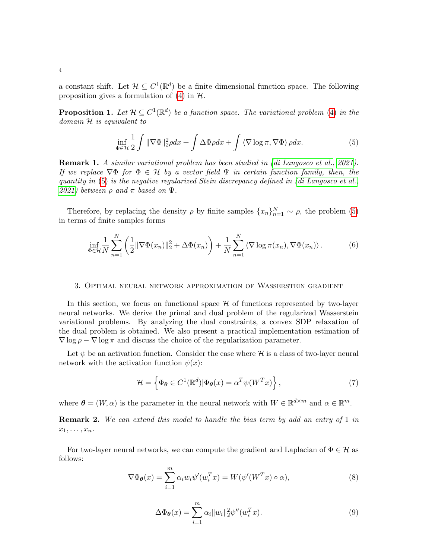a constant shift. Let  $\mathcal{H} \subseteq C^1(\mathbb{R}^d)$  be a finite dimensional function space. The following proposition gives a formulation of  $(4)$  in  $\mathcal{H}$ .

<span id="page-3-4"></span>**Proposition 1.** Let  $\mathcal{H} \subseteq C^1(\mathbb{R}^d)$  be a function space. The variational problem [\(4\)](#page-2-2) in the domain H is equivalent to

<span id="page-3-0"></span>
$$
\inf_{\Phi \in \mathcal{H}} \frac{1}{2} \int \| \nabla \Phi \|_2^2 \rho dx + \int \Delta \Phi \rho dx + \int \langle \nabla \log \pi, \nabla \Phi \rangle \rho dx. \tag{5}
$$

Remark 1. A similar variational problem has been studied in [\(di Langosco et al., 2021\)](#page-11-2). If we replace  $\nabla \Phi$  for  $\Phi \in \mathcal{H}$  by a vector field  $\Psi$  in certain function family, then, the quantity in [\(5\)](#page-3-0) is the negative regularized Stein discrepancy defined in [\(di Langosco et al.,](#page-11-2) [2021\)](#page-11-2) between  $\rho$  and  $\pi$  based on  $\Psi$ .

Therefore, by replacing the density  $\rho$  by finite samples  $\{x_n\}_{n=1}^N \sim \rho$ , the problem [\(5\)](#page-3-0) in terms of finite samples forms

<span id="page-3-1"></span>
$$
\inf_{\Phi \in \mathcal{H}} \frac{1}{N} \sum_{n=1}^{N} \left( \frac{1}{2} \|\nabla \Phi(x_n)\|_2^2 + \Delta \Phi(x_n) \right) + \frac{1}{N} \sum_{n=1}^{N} \left\langle \nabla \log \pi(x_n), \nabla \Phi(x_n) \right\rangle.
$$
 (6)

#### 3. Optimal neural network approximation of Wasserstein gradient

In this section, we focus on functional space  $\mathcal H$  of functions represented by two-layer neural networks. We derive the primal and dual problem of the regularized Wasserstein variational problems. By analyzing the dual constraints, a convex SDP relaxation of the dual problem is obtained. We also present a practical implementation estimation of  $\nabla$  log  $\rho$  –  $\nabla$  log  $\pi$  and discuss the choice of the regularization parameter.

Let  $\psi$  be an activation function. Consider the case where  $\mathcal H$  is a class of two-layer neural network with the activation function  $\psi(x)$ :

<span id="page-3-3"></span>
$$
\mathcal{H} = \left\{ \Phi_{\theta} \in C^{1}(\mathbb{R}^{d}) | \Phi_{\theta}(x) = \alpha^{T} \psi(W^{T} x) \right\},\tag{7}
$$

where  $\boldsymbol{\theta} = (W, \alpha)$  is the parameter in the neural network with  $W \in \mathbb{R}^{d \times m}$  and  $\alpha \in \mathbb{R}^m$ .

**Remark 2.** We can extend this model to handle the bias term by add an entry of 1 in  $x_1, \ldots, x_n$ .

For two-layer neural networks, we can compute the gradient and Laplacian of  $\Phi \in \mathcal{H}$  as follows:

$$
\nabla \Phi_{\theta}(x) = \sum_{i=1}^{m} \alpha_i w_i \psi'(w_i^T x) = W(\psi'(W^T x) \circ \alpha), \tag{8}
$$

<span id="page-3-2"></span>
$$
\Delta \Phi_{\theta}(x) = \sum_{i=1}^{m} \alpha_i ||w_i||_2^2 \psi''(w_i^T x).
$$
\n(9)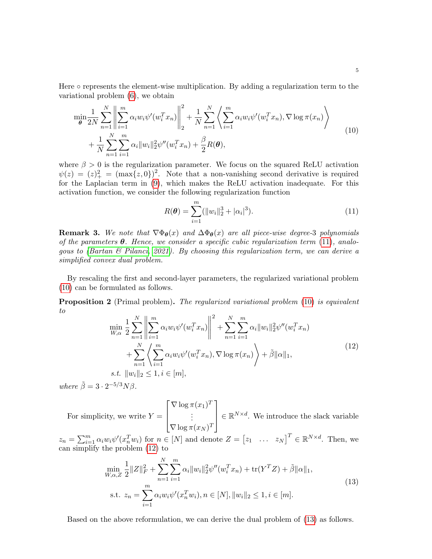Here ○ represents the element-wise multiplication. By adding a regularization term to the variational problem [\(6\)](#page-3-1), we obtain

<span id="page-4-1"></span>
$$
\min_{\theta} \frac{1}{2N} \sum_{n=1}^{N} \left\| \sum_{i=1}^{m} \alpha_i w_i \psi'(w_i^T x_n) \right\|_2^2 + \frac{1}{N} \sum_{n=1}^{N} \left\langle \sum_{i=1}^{m} \alpha_i w_i \psi'(w_i^T x_n), \nabla \log \pi(x_n) \right\rangle + \frac{1}{N} \sum_{n=1}^{N} \sum_{i=1}^{m} \alpha_i \|w_i\|_2^2 \psi''(w_i^T x_n) + \frac{\beta}{2} R(\theta),
$$
\n(10)

where  $\beta > 0$  is the regularization parameter. We focus on the squared ReLU activation  $\psi(z) = (z)^2_+ = (\max\{z, 0\})^2$ . Note that a non-vanishing second derivative is required for the Laplacian term in [\(9\)](#page-3-2), which makes the ReLU activation inadequate. For this activation function, we consider the following regularization function

<span id="page-4-0"></span>
$$
R(\boldsymbol{\theta}) = \sum_{i=1}^{m} (||w_i||_2^3 + |\alpha_i|^3).
$$
 (11)

**Remark 3.** We note that  $\nabla \Phi_{\theta}(x)$  and  $\Delta \Phi_{\theta}(x)$  are all piece-wise degree-3 polynomials of the parameters  $\theta$ . Hence, we consider a specific cubic regularization term [\(11\)](#page-4-0), analogous to (Bartan  $\mathcal B$  Pilanci, 2021). By choosing this regularization term, we can derive a simplified convex dual problem.

By rescaling the first and second-layer parameters, the regularized variational problem [\(10\)](#page-4-1) can be formulated as follows.

<span id="page-4-4"></span>**Proposition 2** (Primal problem). The regularized variational problem [\(10\)](#page-4-1) is equivalent to

<span id="page-4-2"></span>
$$
\min_{W,\alpha} \frac{1}{2} \sum_{n=1}^{N} \left\| \sum_{i=1}^{m} \alpha_i w_i \psi'(w_i^T x_n) \right\|^2 + \sum_{n=1}^{N} \sum_{i=1}^{m} \alpha_i \|w_i\|_2^2 \psi''(w_i^T x_n) + \sum_{n=1}^{N} \left\langle \sum_{i=1}^{m} \alpha_i w_i \psi'(w_i^T x_n), \nabla \log \pi(x_n) \right\rangle + \tilde{\beta} \|\alpha\|_1,
$$
\n(12)\n  
s.t.  $\|w_i\|_2 \le 1, i \in [m],$ 

where  $\tilde{\beta} = 3 \cdot 2^{-5/3} N \beta$ .

For simplicity, we write  $Y =$  $\sqrt{ }$  $\vert$  $\nabla$  log  $\pi(x_1)^T$ . . .  $\nabla \log \pi (x_N)^T$ 1  $\parallel$  $\in \mathbb{R}^{N \times d}$ . We introduce the slack variable

 $z_n = \sum_{i=1}^m \alpha_i w_i \psi'(x_n^T w_i)$  for  $n \in [N]$  and denote  $Z = \begin{bmatrix} z_1 & \dots & z_N \end{bmatrix}^T \in \mathbb{R}^{N \times d}$ . Then, we can simplify the problem [\(12\)](#page-4-2) to

<span id="page-4-3"></span>
$$
\min_{W,\alpha,Z} \frac{1}{2} \|Z\|_F^2 + \sum_{n=1}^N \sum_{i=1}^m \alpha_i \|w_i\|_2^2 \psi''(w_i^T x_n) + \text{tr}(Y^T Z) + \tilde{\beta} \|\alpha\|_1,
$$
\n
$$
\text{s.t. } z_n = \sum_{i=1}^m \alpha_i w_i \psi'(x_n^T w_i), n \in [N], \|w_i\|_2 \le 1, i \in [m].
$$
\n
$$
(13)
$$

Based on the above reformulation, we can derive the dual problem of [\(13\)](#page-4-3) as follows.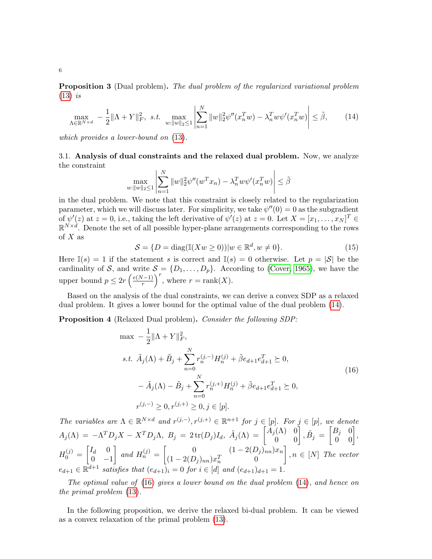<span id="page-5-3"></span>Proposition 3 (Dual problem). The dual problem of the regularized variational problem  $(13)$  is

<span id="page-5-0"></span>
$$
\max_{\Lambda \in \mathbb{R}^{N \times d}} \ -\ \frac{1}{2} \|\Lambda + Y\|_{F}^{2}, \ \ s.t. \ \ \max_{w: \|w\|_{2} \le 1} \left| \sum_{n=1}^{N} \|w\|_{2}^{2} \psi''(x_{n}^{T}w) - \lambda_{n}^{T} w \psi'(x_{n}^{T}w) \right| \le \tilde{\beta}, \tag{14}
$$

which provides a lower-bound on [\(13\)](#page-4-3).

3.1. Analysis of dual constraints and the relaxed dual problem. Now, we analyze the constraint

$$
\max_{w:\|w\|_2\leq 1} \left| \sum_{n=1}^N \|w\|_2^2 \psi''(w^T x_n) - \lambda_n^T w \psi'(x_n^T w) \right| \leq \tilde{\beta}
$$

in the dual problem. We note that this constraint is closely related to the regularization parameter, which we will discuss later. For simplicity, we take  $\psi''(0) = 0$  as the subgradient of  $\psi'(z)$  at  $z = 0$ , i.e., taking the left derivative of  $\psi'(z)$  at  $z = 0$ . Let  $X = [x_1, \ldots, x_N]^T \in$  $\mathbb{R}^{N \times d}$ . Denote the set of all possible hyper-plane arrangements corresponding to the rows of  $X$  as

$$
S = \{D = \text{diag}(\mathbb{I}(Xw \ge 0)) | w \in \mathbb{R}^d, w \ne 0\}.
$$
\n
$$
(15)
$$

Here  $\mathbb{I}(s) = 1$  if the statement s is correct and  $\mathbb{I}(s) = 0$  otherwise. Let  $p = |\mathcal{S}|$  be the cardinality of S, and write  $S = \{D_1, \ldots, D_p\}$ . According to [\(Cover, 1965\)](#page-11-13), we have the upper bound  $p \leq 2r \left(\frac{e(N-1)}{r}\right)$  $\left(\frac{r-1}{r}\right)^r$ , where  $r = \text{rank}(X)$ .

Based on the analysis of the dual constraints, we can derive a convex SDP as a relaxed dual problem. It gives a lower bound for the optimal value of the dual problem [\(14\)](#page-5-0).

<span id="page-5-2"></span>Proposition 4 (Relaxed Dual problem). Consider the following SDP:

<span id="page-5-1"></span>
$$
\max -\frac{1}{2} ||\Lambda + Y||_F^2,
$$
  
s.t.  $\tilde{A}_j(\Lambda) + \tilde{B}_j + \sum_{n=0}^N r_n^{(j,-)} H_n^{(j)} + \tilde{\beta} e_{d+1} e_{d+1}^T \ge 0,$   

$$
-\tilde{A}_j(\Lambda) - \tilde{B}_j + \sum_{n=0}^N r_n^{(j,+)} H_n^{(j)} + \tilde{\beta} e_{d+1} e_{d+1}^T \ge 0,
$$
  

$$
r^{(j,-)} \ge 0, r^{(j,+)} \ge 0, j \in [p].
$$
 (16)

The variables are  $\Lambda \in \mathbb{R}^{N \times d}$  and  $r^{(j,-)}, r^{(j,+)} \in \mathbb{R}^{n+1}$  for  $j \in [p]$ . For  $j \in [p]$ , we denote  $A_j(\Lambda) \ = \ -\Lambda^T D_j X - X^T D_j \Lambda, \ B_j \ = \ 2 \, \text{tr}(D_j) I_d, \ \tilde{A}_j(\Lambda) \ = \ \begin{bmatrix} A_j(\Lambda) & 0 \ 0 & 0 \end{bmatrix}, \tilde{B}_j \ = \ \begin{bmatrix} B_j & 0 \ 0 & 0 \end{bmatrix},$  $H_0^{(j)} = \begin{bmatrix} I_d & 0 \\ 0 & -I \end{bmatrix}$  $0 -1$  $\begin{bmatrix} \n\text{and } H_n^{(j)} = \n\begin{bmatrix} 0 & (1 - 2(D_j)_{nn})x_n \\ (1 - 2(D_j)_{nn})x_n & 0 \end{bmatrix} \n\end{bmatrix}$  $(1 - 2(D_j)_{nn})x_n^T$  0  $\Big\}$ ,  $n \in [N]$  The vector  $e_{d+1} \in \mathbb{R}^{\overline{d+1}}$  satisfies that  $(e_{d+1})_i = 0$  for  $i \in [d]$  and  $(e_{d+1})_{d+1} = 1$ .

The optimal value of [\(16\)](#page-5-1) gives a lower bound on the dual problem [\(14\)](#page-5-0), and hence on the primal problem [\(13\)](#page-4-3).

In the following proposition, we derive the relaxed bi-dual problem. It can be viewed as a convex relaxation of the primal problem [\(13\)](#page-4-3).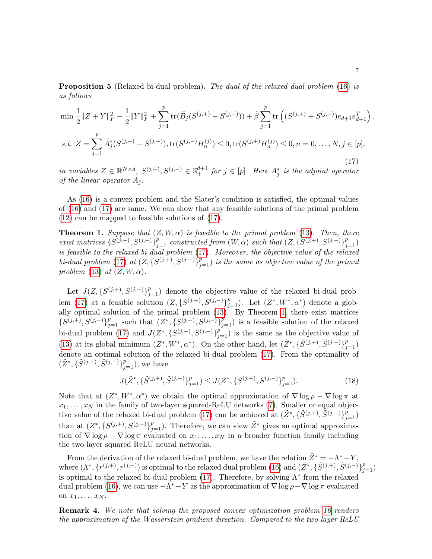<span id="page-6-2"></span>**Proposition 5** (Relaxed bi-dual problem). The dual of the relaxed dual problem [\(16\)](#page-5-1) is as follows

<span id="page-6-0"></span>
$$
\min \frac{1}{2} \|Z + Y\|_F^2 - \frac{1}{2} \|Y\|_F^2 + \sum_{j=1}^p \text{tr}(\tilde{B}_j(S^{(j,+)} - S^{(j,-)})) + \tilde{\beta} \sum_{j=1}^p \text{tr}\left((S^{(j,+)} + S^{(j,-)})e_{d+1}e_{d+1}^T\right),
$$
  
s.t. 
$$
Z = \sum_{j=1}^p \tilde{A}_j^*(S^{(j,-)} - S^{(j,+)}), \text{tr}(S^{(j,-)}H_n^{(j)}) \le 0, \text{tr}(S^{(j,+)}H_n^{(j)}) \le 0, n = 0, ..., N, j \in [p],
$$
\n(17)

in variables  $Z \in \mathbb{R}^{N \times d}$ ,  $S^{(j,+)}$ ,  $S^{(j,-)} \in \mathbb{S}^{d+1}$  for  $j \in [p]$ . Here  $A_j^*$  is the adjoint operator of the linear operator  $A_i$ .

As [\(16\)](#page-5-1) is a convex problem and the Slater's condition is satisfied, the optimal values of [\(16\)](#page-5-1) and [\(17\)](#page-6-0) are same. We can show that any feasible solutions of the primal problem [\(12\)](#page-4-2) can be mapped to feasible solutions of [\(17\)](#page-6-0).

<span id="page-6-1"></span>**Theorem 1.** Suppose that  $(Z, W, \alpha)$  is feasible to the primal problem [\(13\)](#page-4-3). Then, there exist matrices  $\{S^{(j,+)}, S^{(j,-)}\}_{j=1}^p$  constructed from  $(W, \alpha)$  such that  $(Z, \{S^{(j,+)}, S^{(j,-)}\}_{j=1}^p)$ is feasible to the relaxed bi-dual problem [\(17\)](#page-6-0). Moreover, the objective value of the relaxed bi-dual problem [\(17\)](#page-6-0) at  $(Z, \{S^{(j,+)}, S^{(j,-)}\}_{j=1}^p)$  is the same as objective value of the primal problem [\(13\)](#page-4-3) at  $(Z, W, \alpha)$ .

Let  $J(Z, \{S^{(j,+)}, S^{(j,-)}\}_{j=1}^p)$  denote the objective value of the relaxed bi-dual prob-lem [\(17\)](#page-6-0) at a feasible solution  $(Z, \{S^{(j,+)}, S^{(j,-)}\}_{j=1}^p)$ . Let  $(Z^*, W^*, \alpha^*)$  denote a globally optimal solution of the primal problem [\(13\)](#page-4-3). By Theorem [1,](#page-6-1) there exist matrices  $\{S^{(j,+)},S^{(j,-)}\}_{j=1}^p$  such that  $(Z^*,\{S^{(j,+)},S^{(j,-)}\}_{j=1}^p)$  is a feasible solution of the relaxed bi-dual problem [\(17\)](#page-6-0) and  $J(Z^*, \{S^{(j,+)}, S^{(j,-)}\}_{j=1}^p)$  is the same as the objective value of [\(13\)](#page-4-3) at its global minimum  $(Z^*, W^*, \alpha^*)$ . On the other hand, let  $(\tilde{Z}^*, {\{\tilde{S}^{(j,+)}, \tilde{S}^{(j,-)}}\}_{j=1}^p)$ denote an optimal solution of the relaxed bi-dual problem [\(17\)](#page-6-0). From the optimality of  $(\tilde{Z}^*, \{\tilde{S}^{(j,+)}, \tilde{S}^{(j,-)}\}_{j=1}^p)$ , we have

$$
J(\tilde{Z}^*, \{\tilde{S}^{(j,+)}, \tilde{S}^{(j,-)}\}_{j=1}^p) \le J(Z^*, \{S^{(j,+)}, S^{(j,-)}\}_{j=1}^p). \tag{18}
$$

Note that at  $(Z^*, W^*, \alpha^*)$  we obtain the optimal approximation of  $\nabla \log \rho - \nabla \log \pi$  at  $x_1, \ldots, x_N$  in the family of two-layer squared-ReLU networks [\(7\)](#page-3-3). Smaller or equal objec-tive value of the relaxed bi-dual problem [\(17\)](#page-6-0) can be achieved at  $(\tilde{Z}^*, {\{\tilde{S}^{(j,+)}, \tilde{S}^{(j,-)}}\}_{j=1}^p)$ than at  $(Z^*, \{S^{(j,+)}, S^{(j,-)}\}_{j=1}^p)$ . Therefore, we can view  $\tilde{Z}^*$  gives an optimal approximation of  $\nabla$  log  $\rho$  –  $\nabla$  log  $\pi$  evaluated on  $x_1, \ldots, x_N$  in a broader function family including the two-layer squared ReLU neural networks.

From the derivation of the relaxed bi-dual problem, we have the relation  $\tilde{Z}^* = -\Lambda^* - Y$ , where  $(\Lambda^*, \{r^{(j,+)}, r^{(j,-)}\})$  is optimal to the relaxed dual problem [\(16\)](#page-5-1) and  $(\tilde{Z}^*, \{\tilde{S}^{(j,+)}, \tilde{S}^{(j,-)}\}_{j=1}^p)$ is optimal to the relaxed bi-dual problem [\(17\)](#page-6-0). Therefore, by solving  $\Lambda^*$  from the relaxed dual problem [\(16\)](#page-5-1), we can use  $-\Lambda^* - Y$  as the approximation of  $\nabla \log \rho - \nabla \log \pi$  evaluated on  $x_1, \ldots, x_N$ .

**Remark 4.** We note that solving the proposed convex optimization problem [16](#page-5-1) renders the approximation of the Wasserstein gradient direction. Compared to the two-layer ReLU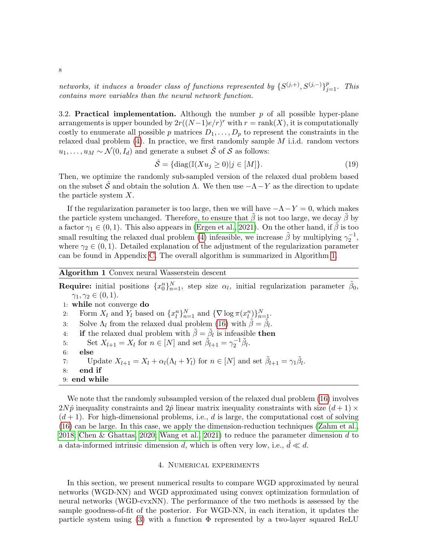networks, it induces a broader class of functions represented by  $\{S^{(j,+)}, S^{(j,-)}\}_{j=1}^p$ . This contains more variables than the neural network function.

3.2. Practical implementation. Although the number  $p$  of all possible hyper-plane arrangements is upper bounded by  $2r((N-1)e/r)^r$  with  $r = \text{rank}(X)$ , it is computationally costly to enumerate all possible p matrices  $D_1, \ldots, D_p$  to represent the constraints in the relaxed dual problem  $(4)$ . In practice, we first randomly sample M i.i.d. random vectors  $u_1, \ldots, u_M \sim \mathcal{N}(0, I_d)$  and generate a subset  $\hat{\mathcal{S}}$  of  $\mathcal{S}$  as follows:

$$
\hat{\mathcal{S}} = \{ \text{diag}(\mathbb{I}(Xu_j \ge 0) | j \in [M] \}. \tag{19}
$$

Then, we optimize the randomly sub-sampled version of the relaxed dual problem based on the subset  $\hat{\mathcal{S}}$  and obtain the solution  $\Lambda$ . We then use  $-\Lambda-Y$  as the direction to update the particle system X.

If the regularization parameter is too large, then we will have  $-\Lambda - Y = 0$ , which makes the particle system unchanged. Therefore, to ensure that  $\beta$  is not too large, we decay  $\beta$  by a factor  $\gamma_1 \in (0,1)$ . This also appears in [\(Ergen et al., 2021\)](#page-11-14). On the other hand, if  $\beta$  is too small resulting the relaxed dual problem [\(4\)](#page-5-2) infeasible, we increase  $\tilde{\beta}$  by multiplying  $\gamma_2^{-1}$ , where  $\gamma_2 \in (0,1)$ . Detailed explanation of the adjustment of the regularization parameter can be found in Appendix [C.](#page-15-0) The overall algorithm is summarized in Algorithm [1.](#page-7-0)

# <span id="page-7-0"></span>Algorithm 1 Convex neural Wasserstein descent

**Require:** initial positions  $\{x_0^n\}_{n=1}^N$ , step size  $\alpha_l$ , initial regularization parameter  $\tilde{\beta}_0$ ,  $\gamma_1, \gamma_2 \in (0,1)$ . 1: while not converge do 2: Form  $X_l$  and  $Y_l$  based on  $\{x_l^n\}_{n=1}^N$  and  $\{\nabla \log \pi(x_l^n)\}_{n=1}^N$ . 3: Solve  $\Lambda_l$  from the relaxed dual problem [\(16\)](#page-5-1) with  $\tilde{\beta} = \tilde{\beta}_l$ . 4: if the relaxed dual problem with  $\tilde{\beta} = \tilde{\beta}_l$  is infeasible then 5: Set  $X_{l+1} = X_l$  for  $n \in [N]$  and set  $\tilde{\beta}_{l+1} = \gamma_2^{-1} \tilde{\beta}_l$ . 6: else 7: Update  $X_{l+1} = X_l + \alpha_l(\Lambda_l + Y_l)$  for  $n \in [N]$  and set  $\tilde{\beta}_{l+1} = \gamma_l \tilde{\beta}_l$ . 8: end if 9: end while

We note that the randomly subsampled version of the relaxed dual problem  $(16)$  involves  $2N\hat{p}$  inequality constraints and  $2\hat{p}$  linear matrix inequality constraints with size  $(d+1) \times$  $(d+1)$ . For high-dimensional problems, i.e., d is large, the computational cost of solving [\(16\)](#page-5-1) can be large. In this case, we apply the dimension-reduction techniques [\(Zahm et al.,](#page-13-2) [2018;](#page-13-2) [Chen & Ghattas, 2020;](#page-11-15) [Wang et al., 2021\)](#page-13-3) to reduce the parameter dimension  $d$  to a data-informed intrinsic dimension  $\hat{d}$ , which is often very low, i.e.,  $\hat{d} \ll d$ .

#### 4. Numerical experiments

In this section, we present numerical results to compare WGD approximated by neural networks (WGD-NN) and WGD approximated using convex optimization formulation of neural networks (WGD-cvxNN). The performance of the two methods is assessed by the sample goodness-of-fit of the posterior. For WGD-NN, in each iteration, it updates the particle system using [\(3\)](#page-2-3) with a function  $\Phi$  represented by a two-layer squared ReLU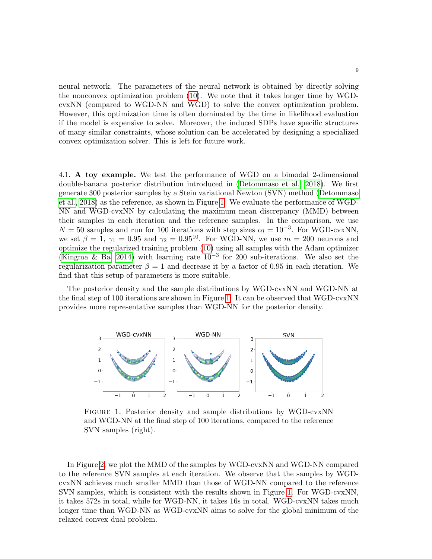neural network. The parameters of the neural network is obtained by directly solving the nonconvex optimization problem [\(10\)](#page-4-1). We note that it takes longer time by WGDcvxNN (compared to WGD-NN and WGD) to solve the convex optimization problem. However, this optimization time is often dominated by the time in likelihood evaluation if the model is expensive to solve. Moreover, the induced SDPs have specific structures of many similar constraints, whose solution can be accelerated by designing a specialized convex optimization solver. This is left for future work.

4.1. A toy example. We test the performance of WGD on a bimodal 2-dimensional double-banana posterior distribution introduced in [\(Detommaso et al., 2018\)](#page-11-16). We first generate 300 posterior samples by a Stein variational Newton (SVN) method [\(Detommaso](#page-11-16) [et al., 2018\)](#page-11-16) as the reference, as shown in Figure [1.](#page-8-0) We evaluate the performance of WGD-NN and WGD-cvxNN by calculating the maximum mean discrepancy (MMD) between their samples in each iteration and the reference samples. In the comparison, we use  $N = 50$  samples and run for 100 iterations with step sizes  $\alpha_l = 10^{-3}$ . For WGD-cvxNN, we set  $\beta = 1$ ,  $\gamma_1 = 0.95$  and  $\gamma_2 = 0.95^{10}$ . For WGD-NN, we use  $m = 200$  neurons and optimize the regularized training problem [\(10\)](#page-4-1) using all samples with the Adam optimizer [\(Kingma & Ba, 2014\)](#page-12-17) with learning rate  $10^{-3}$  for 200 sub-iterations. We also set the regularization parameter  $\beta = 1$  and decrease it by a factor of 0.95 in each iteration. We find that this setup of parameters is more suitable.

The posterior density and the sample distributions by WGD-cvxNN and WGD-NN at the final step of 100 iterations are shown in Figure [1.](#page-8-0) It can be observed that WGD-cvxNN provides more representative samples than WGD-NN for the posterior density.

<span id="page-8-0"></span>

Figure 1. Posterior density and sample distributions by WGD-cvxNN and WGD-NN at the final step of 100 iterations, compared to the reference SVN samples (right).

In Figure [2,](#page-9-0) we plot the MMD of the samples by WGD-cvxNN and WGD-NN compared to the reference SVN samples at each iteration. We observe that the samples by WGDcvxNN achieves much smaller MMD than those of WGD-NN compared to the reference SVN samples, which is consistent with the results shown in Figure [1.](#page-8-0) For WGD-cvxNN, it takes 572s in total, while for WGD-NN, it takes 16s in total. WGD-cvxNN takes much longer time than WGD-NN as WGD-cvxNN aims to solve for the global minimum of the relaxed convex dual problem.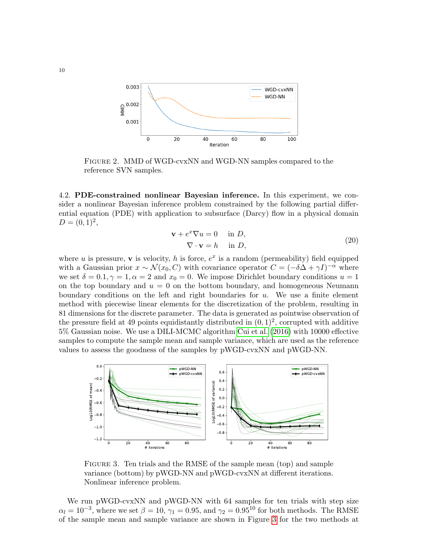<span id="page-9-0"></span>

Figure 2. MMD of WGD-cvxNN and WGD-NN samples compared to the reference SVN samples.

4.2. PDE-constrained nonlinear Bayesian inference. In this experiment, we consider a nonlinear Bayesian inference problem constrained by the following partial differential equation (PDE) with application to subsurface (Darcy) flow in a physical domain  $D = (0, 1)^2,$ 

$$
\mathbf{v} + e^x \nabla u = 0 \quad \text{in } D,
$$
  

$$
\nabla \cdot \mathbf{v} = h \quad \text{in } D,
$$
 (20)

where u is pressure, v is velocity, h is force,  $e^x$  is a random (permeability) field equipped with a Gaussian prior  $x \sim \mathcal{N}(x_0, C)$  with covariance operator  $C = (-\delta \Delta + \gamma I)^{-\alpha}$  where we set  $\delta = 0.1, \gamma = 1, \alpha = 2$  and  $x_0 = 0$ . We impose Dirichlet boundary conditions  $u = 1$ on the top boundary and  $u = 0$  on the bottom boundary, and homogeneous Neumann boundary conditions on the left and right boundaries for  $u$ . We use a finite element method with piecewise linear elements for the discretization of the problem, resulting in 81 dimensions for the discrete parameter. The data is generated as pointwise observation of the pressure field at 49 points equidistantly distributed in  $(0,1)^2$ , corrupted with additive 5% Gaussian noise. We use a DILI-MCMC algorithm [Cui et al.](#page-11-17) [\(2016\)](#page-11-17) with 10000 effective samples to compute the sample mean and sample variance, which are used as the reference values to assess the goodness of the samples by pWGD-cvxNN and pWGD-NN.

<span id="page-9-1"></span>

Figure 3. Ten trials and the RMSE of the sample mean (top) and sample variance (bottom) by pWGD-NN and pWGD-cvxNN at different iterations. Nonlinear inference problem.

We run pWGD-cvxNN and pWGD-NN with 64 samples for ten trials with step size  $\alpha_l = 10^{-3}$ , where we set  $\beta = 10$ ,  $\gamma_1 = 0.95$ , and  $\gamma_2 = 0.95^{10}$  for both methods. The RMSE of the sample mean and sample variance are shown in Figure [3](#page-9-1) for the two methods at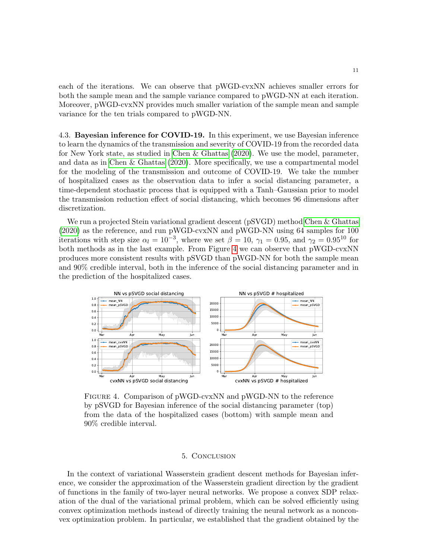each of the iterations. We can observe that pWGD-cvxNN achieves smaller errors for both the sample mean and the sample variance compared to pWGD-NN at each iteration. Moreover, pWGD-cvxNN provides much smaller variation of the sample mean and sample variance for the ten trials compared to pWGD-NN.

4.3. Bayesian inference for COVID-19. In this experiment, we use Bayesian inference to learn the dynamics of the transmission and severity of COVID-19 from the recorded data for New York state, as studied in [Chen & Ghattas](#page-11-15) [\(2020\)](#page-11-15). We use the model, parameter, and data as in [Chen & Ghattas](#page-11-15) [\(2020\)](#page-11-15). More specifically, we use a compartmental model for the modeling of the transmission and outcome of COVID-19. We take the number of hospitalized cases as the observation data to infer a social distancing parameter, a time-dependent stochastic process that is equipped with a Tanh–Gaussian prior to model the transmission reduction effect of social distancing, which becomes 96 dimensions after discretization.

We run a projected Stein variational gradient descent (pSVGD) method [Chen & Ghattas](#page-11-15) [\(2020\)](#page-11-15) as the reference, and run pWGD-cvxNN and pWGD-NN using 64 samples for 100 iterations with step size  $\alpha_l = 10^{-3}$ , where we set  $\beta = 10$ ,  $\gamma_1 = 0.95$ , and  $\gamma_2 = 0.95^{10}$  for both methods as in the last example. From Figure [4](#page-10-0) we can observe that pWGD-cvxNN produces more consistent results with pSVGD than pWGD-NN for both the sample mean and 90% credible interval, both in the inference of the social distancing parameter and in the prediction of the hospitalized cases.

<span id="page-10-0"></span>

Figure 4. Comparison of pWGD-cvxNN and pWGD-NN to the reference by pSVGD for Bayesian inference of the social distancing parameter (top) from the data of the hospitalized cases (bottom) with sample mean and 90% credible interval.

#### 5. Conclusion

In the context of variational Wasserstein gradient descent methods for Bayesian inference, we consider the approximation of the Wasserstein gradient direction by the gradient of functions in the family of two-layer neural networks. We propose a convex SDP relaxation of the dual of the variational primal problem, which can be solved efficiently using convex optimization methods instead of directly training the neural network as a nonconvex optimization problem. In particular, we established that the gradient obtained by the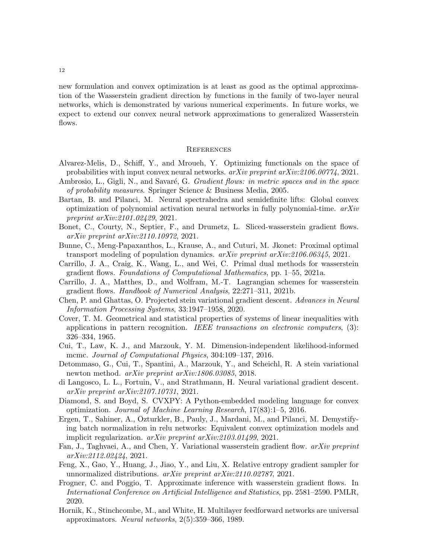new formulation and convex optimization is at least as good as the optimal approximation of the Wasserstein gradient direction by functions in the family of two-layer neural networks, which is demonstrated by various numerical experiments. In future works, we expect to extend our convex neural network approximations to generalized Wasserstein flows.

#### **REFERENCES**

- <span id="page-11-9"></span>Alvarez-Melis, D., Schiff, Y., and Mroueh, Y. Optimizing functionals on the space of probabilities with input convex neural networks. arXiv preprint arXiv:2106.00774, 2021.
- <span id="page-11-0"></span>Ambrosio, L., Gigli, N., and Savaré, G. Gradient flows: in metric spaces and in the space of probability measures. Springer Science & Business Media, 2005.
- <span id="page-11-4"></span>Bartan, B. and Pilanci, M. Neural spectrahedra and semidefinite lifts: Global convex optimization of polynomial activation neural networks in fully polynomial-time.  $arXiv$ preprint arXiv:2101.02429, 2021.
- <span id="page-11-7"></span>Bonet, C., Courty, N., Septier, F., and Drumetz, L. Sliced-wasserstein gradient flows. arXiv preprint arXiv:2110.10972, 2021.
- <span id="page-11-10"></span>Bunne, C., Meng-Papaxanthos, L., Krause, A., and Cuturi, M. Jkonet: Proximal optimal transport modeling of population dynamics.  $arXiv$  preprint  $arXiv:2106.06345$ , 2021.
- <span id="page-11-6"></span>Carrillo, J. A., Craig, K., Wang, L., and Wei, C. Primal dual methods for wasserstein gradient flows. Foundations of Computational Mathematics, pp. 1–55, 2021a.
- <span id="page-11-1"></span>Carrillo, J. A., Matthes, D., and Wolfram, M.-T. Lagrangian schemes for wasserstein gradient flows. Handbook of Numerical Analysis, 22:271–311, 2021b.
- <span id="page-11-15"></span>Chen, P. and Ghattas, O. Projected stein variational gradient descent. Advances in Neural Information Processing Systems, 33:1947–1958, 2020.
- <span id="page-11-13"></span>Cover, T. M. Geometrical and statistical properties of systems of linear inequalities with applications in pattern recognition. IEEE transactions on electronic computers, (3): 326–334, 1965.
- <span id="page-11-17"></span>Cui, T., Law, K. J., and Marzouk, Y. M. Dimension-independent likelihood-informed mcmc. Journal of Computational Physics, 304:109-137, 2016.
- <span id="page-11-16"></span>Detommaso, G., Cui, T., Spantini, A., Marzouk, Y., and Scheichl, R. A stein variational newton method. arXiv preprint arXiv:1806.03085, 2018.
- <span id="page-11-2"></span>di Langosco, L. L., Fortuin, V., and Strathmann, H. Neural variational gradient descent. arXiv preprint arXiv:2107.10731, 2021.
- <span id="page-11-5"></span>Diamond, S. and Boyd, S. CVXPY: A Python-embedded modeling language for convex optimization. Journal of Machine Learning Research, 17(83):1–5, 2016.
- <span id="page-11-14"></span>Ergen, T., Sahiner, A., Ozturkler, B., Pauly, J., Mardani, M., and Pilanci, M. Demystifying batch normalization in relu networks: Equivalent convex optimization models and implicit regularization. arXiv preprint arXiv:2103.01499, 2021.
- <span id="page-11-11"></span>Fan, J., Taghvaei, A., and Chen, Y. Variational wasserstein gradient flow. *arXiv preprint* arXiv:2112.02424, 2021.
- <span id="page-11-12"></span>Feng, X., Gao, Y., Huang, J., Jiao, Y., and Liu, X. Relative entropy gradient sampler for unnormalized distributions. arXiv preprint arXiv:2110.02787, 2021.
- <span id="page-11-8"></span>Frogner, C. and Poggio, T. Approximate inference with wasserstein gradient flows. In International Conference on Artificial Intelligence and Statistics, pp. 2581–2590. PMLR, 2020.
- <span id="page-11-3"></span>Hornik, K., Stinchcombe, M., and White, H. Multilayer feedforward networks are universal approximators. Neural networks, 2(5):359–366, 1989.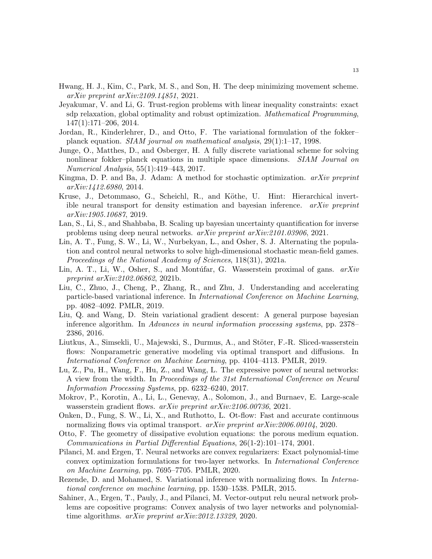- <span id="page-12-16"></span>Hwang, H. J., Kim, C., Park, M. S., and Son, H. The deep minimizing movement scheme. arXiv preprint arXiv:2109.14851, 2021.
- <span id="page-12-18"></span>Jeyakumar, V. and Li, G. Trust-region problems with linear inequality constraints: exact sdp relaxation, global optimality and robust optimization. Mathematical Programming, 147(1):171–206, 2014.
- <span id="page-12-11"></span>Jordan, R., Kinderlehrer, D., and Otto, F. The variational formulation of the fokker– planck equation. SIAM journal on mathematical analysis,  $29(1):1-17$ , 1998.
- <span id="page-12-1"></span>Junge, O., Matthes, D., and Osberger, H. A fully discrete variational scheme for solving nonlinear fokker–planck equations in multiple space dimensions. SIAM Journal on Numerical Analysis, 55(1):419–443, 2017.
- <span id="page-12-17"></span>Kingma, D. P. and Ba, J. Adam: A method for stochastic optimization. arXiv preprint arXiv:1412.6980, 2014.
- <span id="page-12-6"></span>Kruse, J., Detommaso, G., Scheichl, R., and Köthe, U. Hint: Hierarchical invertible neural transport for density estimation and bayesian inference. arXiv preprint arXiv:1905.10687, 2019.
- <span id="page-12-7"></span>Lan, S., Li, S., and Shahbaba, B. Scaling up bayesian uncertainty quantification for inverse problems using deep neural networks. arXiv preprint arXiv:2101.03906, 2021.
- <span id="page-12-15"></span>Lin, A. T., Fung, S. W., Li, W., Nurbekyan, L., and Osher, S. J. Alternating the population and control neural networks to solve high-dimensional stochastic mean-field games. Proceedings of the National Academy of Sciences, 118(31), 2021a.
- <span id="page-12-14"></span>Lin, A. T., Li, W., Osher, S., and Montuan, G. Wasserstein proximal of gans.  $arXiv$ preprint arXiv:2102.06862, 2021b.
- <span id="page-12-2"></span>Liu, C., Zhuo, J., Cheng, P., Zhang, R., and Zhu, J. Understanding and accelerating particle-based variational inference. In International Conference on Machine Learning, pp. 4082–4092. PMLR, 2019.
- <span id="page-12-3"></span>Liu, Q. and Wang, D. Stein variational gradient descent: A general purpose bayesian inference algorithm. In Advances in neural information processing systems, pp. 2378– 2386, 2016.
- <span id="page-12-12"></span>Liutkus, A., Simsekli, U., Majewski, S., Durmus, A., and Stöter, F.-R. Sliced-wasserstein flows: Nonparametric generative modeling via optimal transport and diffusions. In International Conference on Machine Learning, pp. 4104–4113. PMLR, 2019.
- <span id="page-12-8"></span>Lu, Z., Pu, H., Wang, F., Hu, Z., and Wang, L. The expressive power of neural networks: A view from the width. In Proceedings of the 31st International Conference on Neural Information Processing Systems, pp. 6232–6240, 2017.
- <span id="page-12-13"></span>Mokrov, P., Korotin, A., Li, L., Genevay, A., Solomon, J., and Burnaev, E. Large-scale wasserstein gradient flows. arXiv preprint arXiv:2106.00736, 2021.
- <span id="page-12-5"></span>Onken, D., Fung, S. W., Li, X., and Ruthotto, L. Ot-flow: Fast and accurate continuous normalizing flows via optimal transport. arXiv preprint arXiv:2006.00104, 2020.
- <span id="page-12-0"></span>Otto, F. The geometry of dissipative evolution equations: the porous medium equation. Communications in Partial Differential Equations, 26(1-2):101–174, 2001.
- <span id="page-12-9"></span>Pilanci, M. and Ergen, T. Neural networks are convex regularizers: Exact polynomial-time convex optimization formulations for two-layer networks. In International Conference on Machine Learning, pp. 7695–7705. PMLR, 2020.
- <span id="page-12-4"></span>Rezende, D. and Mohamed, S. Variational inference with normalizing flows. In *Interna*tional conference on machine learning, pp. 1530–1538. PMLR, 2015.
- <span id="page-12-10"></span>Sahiner, A., Ergen, T., Pauly, J., and Pilanci, M. Vector-output relu neural network problems are copositive programs: Convex analysis of two layer networks and polynomialtime algorithms. arXiv preprint arXiv:2012.13329, 2020.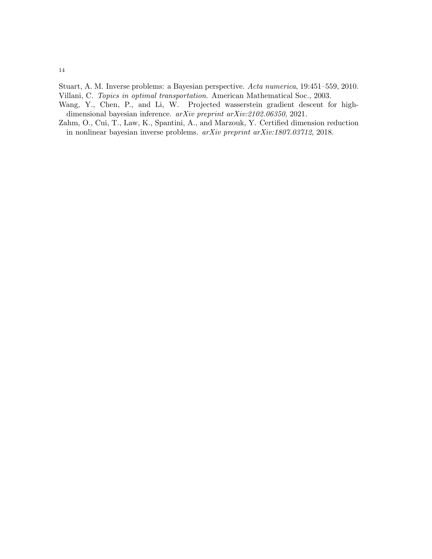- <span id="page-13-0"></span>Stuart, A. M. Inverse problems: a Bayesian perspective. Acta numerica, 19:451–559, 2010.
- <span id="page-13-1"></span>Villani, C. Topics in optimal transportation. American Mathematical Soc., 2003.
- <span id="page-13-3"></span>Wang, Y., Chen, P., and Li, W. Projected wasserstein gradient descent for highdimensional bayesian inference. arXiv preprint arXiv:2102.06350, 2021.
- <span id="page-13-2"></span>Zahm, O., Cui, T., Law, K., Spantini, A., and Marzouk, Y. Certified dimension reduction in nonlinear bayesian inverse problems. arXiv preprint arXiv:1807.03712, 2018.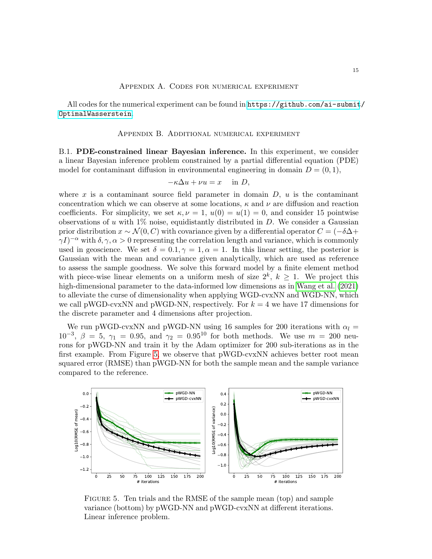## Appendix A. Codes for numerical experiment

All codes for the numerical experiment can be found in [https://github.com/ai-submit](https://github.com/ai-submit/OptimalWasserstein)/ [OptimalWasserstein](https://github.com/ai-submit/OptimalWasserstein).

#### Appendix B. Additional numerical experiment

B.1. PDE-constrained linear Bayesian inference. In this experiment, we consider a linear Bayesian inference problem constrained by a partial differential equation (PDE) model for contaminant diffusion in environmental engineering in domain  $D = (0, 1)$ ,

$$
-\kappa \Delta u + \nu u = x \quad \text{in } D,
$$

where x is a contaminant source field parameter in domain  $D, u$  is the contaminant concentration which we can observe at some locations,  $\kappa$  and  $\nu$  are diffusion and reaction coefficients. For simplicity, we set  $\kappa, \nu = 1, u(0) = u(1) = 0$ , and consider 15 pointwise observations of u with  $1\%$  noise, equidistantly distributed in D. We consider a Gaussian prior distribution  $x \sim \mathcal{N}(0, C)$  with covariance given by a differential operator  $C = (-\delta \Delta +$  $\gamma I$ <sup>-α</sup> with  $\delta, \gamma, \alpha > 0$  representing the correlation length and variance, which is commonly used in geoscience. We set  $\delta = 0.1, \gamma = 1, \alpha = 1$ . In this linear setting, the posterior is Gaussian with the mean and covariance given analytically, which are used as reference to assess the sample goodness. We solve this forward model by a finite element method with piece-wise linear elements on a uniform mesh of size  $2^k$ ,  $k \geq 1$ . We project this high-dimensional parameter to the data-informed low dimensions as in [Wang et al.](#page-13-3) [\(2021\)](#page-13-3) to alleviate the curse of dimensionality when applying WGD-cvxNN and WGD-NN, which we call pWGD-cvxNN and pWGD-NN, respectively. For  $k = 4$  we have 17 dimensions for the discrete parameter and 4 dimensions after projection.

We run pWGD-cvxNN and pWGD-NN using 16 samples for 200 iterations with  $\alpha_l =$  $10^{-3}$ ,  $\beta = 5$ ,  $\gamma_1 = 0.95$ , and  $\gamma_2 = 0.95^{10}$  for both methods. We use  $m = 200$  neurons for pWGD-NN and train it by the Adam optimizer for 200 sub-iterations as in the first example. From Figure [5,](#page-14-0) we observe that pWGD-cvxNN achieves better root mean squared error (RMSE) than pWGD-NN for both the sample mean and the sample variance compared to the reference.

<span id="page-14-0"></span>

Figure 5. Ten trials and the RMSE of the sample mean (top) and sample variance (bottom) by pWGD-NN and pWGD-cvxNN at different iterations. Linear inference problem.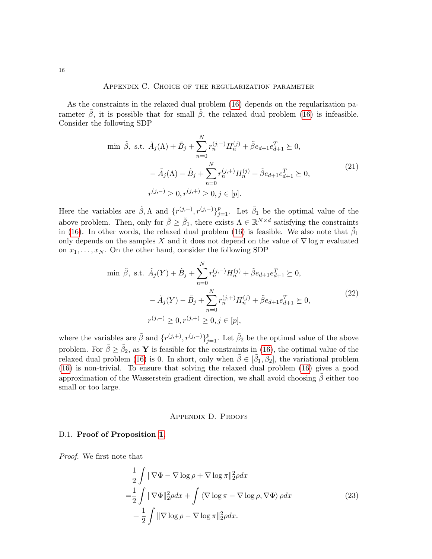## Appendix C. Choice of the regularization parameter

<span id="page-15-0"></span>As the constraints in the relaxed dual problem [\(16\)](#page-5-1) depends on the regularization parameter  $\beta$ , it is possible that for small  $\beta$ , the relaxed dual problem [\(16\)](#page-5-1) is infeasible. Consider the following SDP

$$
\begin{aligned}\n\min \ \tilde{\beta}, \text{ s.t. } \tilde{A}_j(\Lambda) + \tilde{B}_j + \sum_{n=0}^N r_n^{(j,-)} H_n^{(j)} + \tilde{\beta} e_{d+1} e_{d+1}^T \succeq 0, \\
- \tilde{A}_j(\Lambda) - \tilde{B}_j + \sum_{n=0}^N r_n^{(j,+)} H_n^{(j)} + \tilde{\beta} e_{d+1} e_{d+1}^T \succeq 0, \\
r^{(j,-)} \ge 0, r^{(j,+)} \ge 0, j \in [p].\n\end{aligned} \tag{21}
$$

Here the variables are  $\tilde{\beta}, \Lambda$  and  $\{r^{(j,+)}, r^{(j,-)}\}_{j=1}^p$ . Let  $\tilde{\beta}_1$  be the optimal value of the above problem. Then, only for  $\tilde{\beta} \geq \tilde{\beta}_1$ , there exists  $\Lambda \in \mathbb{R}^{N \times d}$  satisfying the constraints in [\(16\)](#page-5-1). In other words, the relaxed dual problem (16) is feasible. We also note that  $\tilde{\beta}_1$ only depends on the samples X and it does not depend on the value of  $\nabla \log \pi$  evaluated on  $x_1, \ldots, x_N$ . On the other hand, consider the following SDP

$$
\begin{aligned}\n\min \ \tilde{\beta}, \text{ s.t. } \tilde{A}_j(Y) + \tilde{B}_j + \sum_{n=0}^N r_n^{(j,-)} H_n^{(j)} + \tilde{\beta} e_{d+1} e_{d+1}^T \succeq 0, \\
&\quad - \tilde{A}_j(Y) - \tilde{B}_j + \sum_{n=0}^N r_n^{(j,+)} H_n^{(j)} + \tilde{\beta} e_{d+1} e_{d+1}^T \succeq 0, \\
&\quad r^{(j,-)} \ge 0, r^{(j,+)} \ge 0, j \in [p],\n\end{aligned} \tag{22}
$$

where the variables are  $\tilde{\beta}$  and  $\{r^{(j,+)}, r^{(j,-)}\}_{j=1}^p$ . Let  $\tilde{\beta}_2$  be the optimal value of the above problem. For  $\tilde{\beta} \geq \tilde{\beta}_2$ , as Y is feasible for the constraints in [\(16\)](#page-5-1), the optimal value of the relaxed dual problem [\(16\)](#page-5-1) is 0. In short, only when  $\tilde{\beta} \in [\tilde{\beta}_1, \tilde{\beta}_2]$ , the variational problem [\(16\)](#page-5-1) is non-trivial. To ensure that solving the relaxed dual problem [\(16\)](#page-5-1) gives a good approximation of the Wasserstein gradient direction, we shall avoid choosing  $\tilde{\beta}$  either too small or too large.

## Appendix D. Proofs

## D.1. Proof of Proposition [1.](#page-3-4)

Proof. We first note that

$$
\frac{1}{2} \int \|\nabla \Phi - \nabla \log \rho + \nabla \log \pi\|_2^2 \rho dx
$$
\n
$$
= \frac{1}{2} \int \|\nabla \Phi\|_2^2 \rho dx + \int \langle \nabla \log \pi - \nabla \log \rho, \nabla \Phi \rangle \rho dx
$$
\n
$$
+ \frac{1}{2} \int \|\nabla \log \rho - \nabla \log \pi\|_2^2 \rho dx.
$$
\n(23)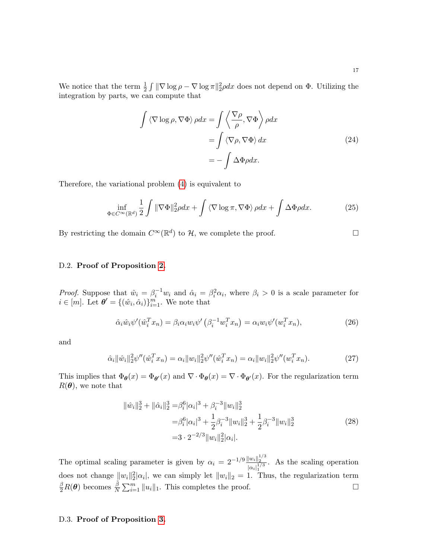We notice that the term  $\frac{1}{2} \int ||\nabla \log \rho - \nabla \log \pi||_2^2 \rho dx$  does not depend on  $\Phi$ . Utilizing the integration by parts, we can compute that

$$
\int \langle \nabla \log \rho, \nabla \Phi \rangle \rho dx = \int \langle \frac{\nabla \rho}{\rho}, \nabla \Phi \rangle \rho dx
$$

$$
= \int \langle \nabla \rho, \nabla \Phi \rangle dx
$$

$$
= -\int \Delta \Phi \rho dx.
$$
 (24)

Therefore, the variational problem [\(4\)](#page-2-2) is equivalent to

$$
\inf_{\Phi \in C^{\infty}(\mathbb{R}^d)} \frac{1}{2} \int \| \nabla \Phi \|_2^2 \rho dx + \int \langle \nabla \log \pi, \nabla \Phi \rangle \rho dx + \int \Delta \Phi \rho dx. \tag{25}
$$

By restricting the domain  $C^{\infty}(\mathbb{R}^d)$  to  $\mathcal{H}$ , we complete the proof.

# D.2. Proof of Proposition [2.](#page-4-4)

*Proof.* Suppose that  $\hat{w}_i = \beta_i^{-1} w_i$  and  $\hat{\alpha}_i = \beta_i^2 \alpha_i$ , where  $\beta_i > 0$  is a scale parameter for  $i \in [m]$ . Let  $\boldsymbol{\theta}' = \{(\hat{w}_i, \hat{\alpha}_i)\}_{i=1}^m$ . We note that

$$
\hat{\alpha}_i \hat{w}_i \psi'(\hat{w}_i^T x_n) = \beta_i \alpha_i w_i \psi'(\beta_i^{-1} w_i^T x_n) = \alpha_i w_i \psi'(w_i^T x_n), \qquad (26)
$$

and

$$
\hat{\alpha}_i \|\hat{w}_i\|_2^2 \psi''(\hat{w}_i^T x_n) = \alpha_i \|w_i\|_2^2 \psi''(\hat{w}_i^T x_n) = \alpha_i \|w_i\|_2^2 \psi''(w_i^T x_n). \tag{27}
$$

This implies that  $\Phi_{\theta}(x) = \Phi_{\theta}(x)$  and  $\nabla \cdot \Phi_{\theta}(x) = \nabla \cdot \Phi_{\theta}(x)$ . For the regularization term  $R(\boldsymbol{\theta})$ , we note that

$$
\begin{split} \|\hat{w}_{i}\|_{2}^{3} + \|\hat{\alpha}_{i}\|_{2}^{3} &= \beta_{i}^{6}|\alpha_{i}|^{3} + \beta_{i}^{-3}\|w_{i}\|_{2}^{3} \\ &= \beta_{i}^{6}|\alpha_{i}|^{3} + \frac{1}{2}\beta_{i}^{-3}\|w_{i}\|_{2}^{3} + \frac{1}{2}\beta_{i}^{-3}\|w_{i}\|_{2}^{3} \\ &= 3 \cdot 2^{-2/3}\|w_{i}\|_{2}^{2}|\alpha_{i}|. \end{split} \tag{28}
$$

The optimal scaling parameter is given by  $\alpha_i = 2^{-1/9} \frac{||w_i||_2^{1/3}}{|v_i||_2^{1/3}}$  $|\alpha_i|_1^{1/3}$ . As the scaling operation does not change  $||w_i||_2^2 |\alpha_i|$ , we can simply let  $||w_i||_2 = 1$ . Thus, the regularization term  $\frac{\beta}{2}R(\theta)$  becomes  $\frac{\tilde{\beta}}{N}\sum_{i=1}^{m}||u_i||_1$ . This completes the proof.

# D.3. Proof of Proposition [3.](#page-5-3)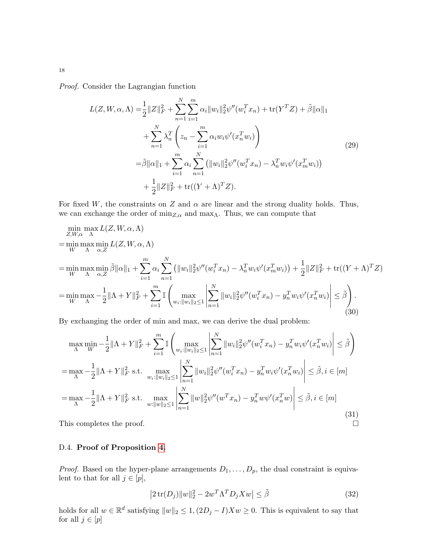Proof. Consider the Lagrangian function

$$
L(Z, W, \alpha, \Lambda) = \frac{1}{2} ||Z||_F^2 + \sum_{n=1}^N \sum_{i=1}^m \alpha_i ||w_i||_2^2 \psi''(w_i^T x_n) + \text{tr}(Y^T Z) + \tilde{\beta} ||\alpha||_1
$$
  
+ 
$$
\sum_{n=1}^N \lambda_n^T \left( z_n - \sum_{i=1}^m \alpha_i w_i \psi'(x_n^T w_i) \right)
$$
  
= 
$$
\tilde{\beta} ||\alpha||_1 + \sum_{i=1}^m \alpha_i \sum_{n=1}^N (||w_i||_2^2 \psi''(w_i^T x_n) - \lambda_n^T w_i \psi'(x_m^T w_i))
$$
  
+ 
$$
\frac{1}{2} ||Z||_F^2 + \text{tr}((Y + \Lambda)^T Z).
$$
 (29)

For fixed W, the constraints on Z and  $\alpha$  are linear and the strong duality holds. Thus, we can exchange the order of  $\min_{Z,\alpha}$  and  $\max_{\Lambda}$  . Thus, we can compute that

$$
\min_{Z, W, \alpha} \max_{\Lambda} L(Z, W, \alpha, \Lambda)
$$
\n
$$
= \min_{W} \max_{\Lambda} \min_{\alpha, Z} \tilde{\beta} ||\alpha||_{1} + \sum_{i=1}^{m} \alpha_{i} \sum_{n=1}^{N} (||w_{i}||_{2}^{2} \psi''(w_{i}^{T} x_{n}) - \lambda_{n}^{T} w_{i} \psi'(x_{m}^{T} w_{i})) + \frac{1}{2} ||Z||_{F}^{2} + \text{tr}((Y + \Lambda)^{T} Z)
$$
\n
$$
= \min_{W} \max_{\Lambda} -\frac{1}{2} ||\Lambda + Y||_{F}^{2} + \sum_{i=1}^{m} \mathbb{I} \left( \max_{w_{i}: ||w_{i}||_{2} \leq 1} \left| \sum_{n=1}^{N} ||w_{i}||_{2}^{2} \psi''(w_{i}^{T} x_{n}) - y_{n}^{T} w_{i} \psi'(x_{n}^{T} w_{i}) \right| \leq \tilde{\beta} \right).
$$
\n(30)

By exchanging the order of min and max, we can derive the dual problem:

$$
\max_{\Lambda} \min_{W} -\frac{1}{2} ||\Lambda + Y||_{F}^{2} + \sum_{i=1}^{m} \mathbb{I} \left( \max_{w_{i} : ||w_{i}||_{2} \leq 1} \left| \sum_{n=1}^{N} ||w_{i}||_{2}^{2} \psi''(w_{i}^{T} x_{n}) - y_{n}^{T} w_{i} \psi'(x_{n}^{T} w_{i}) \right| \leq \tilde{\beta} \right)
$$
\n
$$
= \max_{\Lambda} -\frac{1}{2} ||\Lambda + Y||_{F}^{2} \text{ s.t. } \max_{w_{i} : ||w_{i}||_{2} \leq 1} \left| \sum_{n=1}^{N} ||w_{i}||_{2}^{2} \psi''(w_{i}^{T} x_{n}) - y_{n}^{T} w_{i} \psi'(x_{n}^{T} w_{i}) \right| \leq \tilde{\beta}, i \in [m]
$$
\n
$$
= \max_{\Lambda} -\frac{1}{2} ||\Lambda + Y||_{F}^{2} \text{ s.t. } \max_{w: ||w||_{2} \leq 1} \left| \sum_{n=1}^{N} ||w||_{2}^{2} \psi''(w^{T} x_{n}) - y_{n}^{T} w \psi'(x_{n}^{T} w) \right| \leq \tilde{\beta}, i \in [m]
$$
\nThis completes the proof. (31)

# D.4. Proof of Proposition [4.](#page-5-2)

*Proof.* Based on the hyper-plane arrangements  $D_1, \ldots, D_p$ , the dual constraint is equivalent to that for all  $j \in [p]$ ,

$$
|2\operatorname{tr}(D_j)\|w\|_2^2 - 2w^T\Lambda^T D_jXw| \le \tilde{\beta}
$$
\n(32)

holds for all  $w \in \mathbb{R}^d$  satisfying  $||w||_2 \leq 1$ ,  $(2D_j - I)Xw \geq 0$ . This is equivalent to say that for all  $j \in [p]$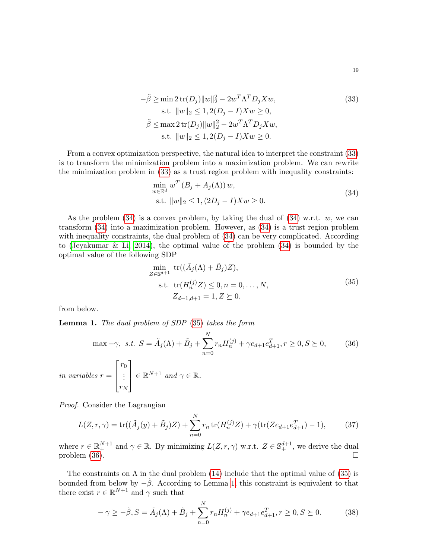<span id="page-18-0"></span>
$$
-\tilde{\beta} \ge \min 2 \operatorname{tr}(D_j) \|w\|_2^2 - 2w^T \Lambda^T D_j X w,
$$
  
s.t. 
$$
\|w\|_2 \le 1, 2(D_j - I) X w \ge 0,
$$
  

$$
\tilde{\beta} \le \max 2 \operatorname{tr}(D_j) \|w\|_2^2 - 2w^T \Lambda^T D_j X w,
$$
  
s.t. 
$$
\|w\|_2 \le 1, 2(D_j - I) X w \ge 0.
$$
 (33)

From a convex optimization perspective, the natural idea to interpret the constraint [\(33\)](#page-18-0) is to transform the minimization problem into a maximization problem. We can rewrite the minimization problem in [\(33\)](#page-18-0) as a trust region problem with inequality constraints:

<span id="page-18-1"></span>
$$
\min_{w \in \mathbb{R}^d} w^T (B_j + A_j(\Lambda)) w,
$$
  
s.t.  $||w||_2 \le 1, (2D_j - I)Xw \ge 0.$  (34)

As the problem  $(34)$  is a convex problem, by taking the dual of  $(34)$  w.r.t. w, we can transform [\(34\)](#page-18-1) into a maximization problem. However, as [\(34\)](#page-18-1) is a trust region problem with inequality constraints, the dual problem of  $(34)$  can be very complicated. According to [\(Jeyakumar & Li, 2014\)](#page-12-18), the optimal value of the problem [\(34\)](#page-18-1) is bounded by the optimal value of the following SDP

<span id="page-18-2"></span>
$$
\min_{Z \in \mathbb{S}^{d+1}} \text{tr}((\tilde{A}_{j}(\Lambda) + \tilde{B}_{j})Z),
$$
\n
$$
\text{s.t. } \text{tr}(H_{n}^{(j)}Z) \leq 0, n = 0, ..., N,
$$
\n
$$
Z_{d+1,d+1} = 1, Z \succeq 0.
$$
\n(35)

from below.

<span id="page-18-4"></span>Lemma 1. The dual problem of SDP [\(35\)](#page-18-2) takes the form

<span id="page-18-3"></span>
$$
\max -\gamma, \ s.t. \ S = \tilde{A}_j(\Lambda) + \tilde{B}_j + \sum_{n=0}^N r_n H_n^{(j)} + \gamma e_{d+1} e_{d+1}^T, r \ge 0, S \succeq 0,
$$
\n
$$
\text{in variables } r = \begin{bmatrix} r_0 \\ \vdots \\ r_N \end{bmatrix} \in \mathbb{R}^{N+1} \ and \ \gamma \in \mathbb{R}.
$$
\n
$$
(36)
$$

Proof. Consider the Lagrangian

$$
L(Z,r,\gamma) = \text{tr}((\tilde{A}_j(y) + \tilde{B}_j)Z) + \sum_{n=0}^{N} r_n \text{tr}(H_n^{(j)}Z) + \gamma(\text{tr}(Ze_{d+1}e_{d+1}^T) - 1),
$$
 (37)

where  $r \in \mathbb{R}^{N+1}_+$  and  $\gamma \in \mathbb{R}$ . By minimizing  $L(Z, r, \gamma)$  w.r.t.  $Z \in \mathbb{S}^{d+1}_+$ , we derive the dual problem  $(36)$ .

The constraints on  $\Lambda$  in the dual problem [\(14\)](#page-5-0) include that the optimal value of [\(35\)](#page-18-2) is bounded from below by  $-\tilde{\beta}$ . According to Lemma [1,](#page-18-4) this constraint is equivalent to that there exist  $r \in \mathbb{R}^{N+1}$  and  $\gamma$  such that

$$
-\gamma \geq -\tilde{\beta}, S = \tilde{A}_j(\Lambda) + \tilde{B}_j + \sum_{n=0}^{N} r_n H_n^{(j)} + \gamma e_{d+1} e_{d+1}^T, r \geq 0, S \geq 0. \tag{38}
$$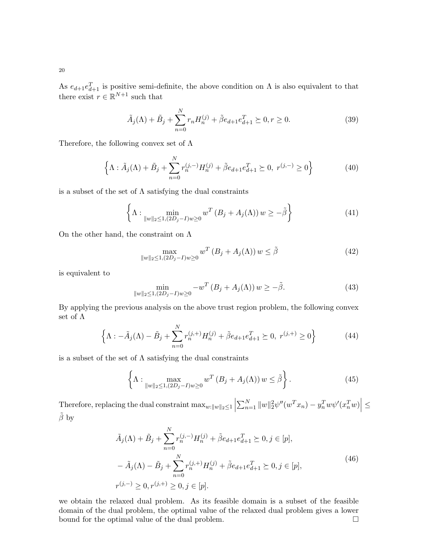As  $e_{d+1}e_{d+1}^T$  is positive semi-definite, the above condition on  $\Lambda$  is also equivalent to that there exist  $r \in \mathbb{R}^{N+1}$  such that

$$
\tilde{A}_{j}(\Lambda) + \tilde{B}_{j} + \sum_{n=0}^{N} r_{n} H_{n}^{(j)} + \tilde{\beta} e_{d+1} e_{d+1}^{T} \succeq 0, r \ge 0.
$$
\n(39)

Therefore, the following convex set of  $\Lambda$ 

$$
\left\{\Lambda : \tilde{A}_{j}(\Lambda) + \tilde{B}_{j} + \sum_{n=0}^{N} r_{n}^{(j,-)} H_{n}^{(j)} + \tilde{\beta} e_{d+1} e_{d+1}^{T} \succeq 0, r^{(j,-)} \ge 0 \right\}
$$
(40)

is a subset of the set of  $\Lambda$  satisfying the dual constraints

$$
\left\{\Lambda : \min_{\|w\|_2 \le 1, (2D_j - I)w \ge 0} w^T \left(B_j + A_j(\Lambda)\right) w \ge -\tilde{\beta}\right\} \tag{41}
$$

On the other hand, the constraint on  $\Lambda$ 

$$
\max_{\|w\|_2 \le 1, (2D_j - I)w \ge 0} w^T (B_j + A_j(\Lambda)) w \le \tilde{\beta}
$$
\n(42)

is equivalent to

$$
\min_{\|w\|_2 \le 1, (2D_j - I)w \ge 0} -w^T (B_j + A_j(\Lambda)) w \ge -\tilde{\beta}.
$$
\n(43)

By applying the previous analysis on the above trust region problem, the following convex set of  $\Lambda$ 

$$
\left\{\Lambda: -\tilde{A}_j(\Lambda) - \tilde{B}_j + \sum_{n=0}^N r_n^{(j,+)} H_n^{(j)} + \tilde{\beta} e_{d+1} e_{d+1}^T \succeq 0, \ r^{(j,+)} \ge 0 \right\}
$$
 (44)

is a subset of the set of  $\Lambda$  satisfying the dual constraints

$$
\left\{\Lambda : \max_{\|w\|_2 \le 1, (2D_j - I)w \ge 0} w^T \left(B_j + A_j(\Lambda)\right) w \le \tilde{\beta}\right\}.
$$
\n(45)

Therefore, replacing the dual constraint  $\max_{w:||w||_2 \leq 1}$  $\sum_{n=1}^{N} ||w||_2^2 \psi''(w^T x_n) - y_n^T w \psi'(x_n^T w) \Big| \leq$  $\tilde{\beta}$  by

$$
\tilde{A}_{j}(\Lambda) + \tilde{B}_{j} + \sum_{n=0}^{N} r_{n}^{(j,-)} H_{n}^{(j)} + \tilde{\beta} e_{d+1} e_{d+1}^{T} \succeq 0, j \in [p],
$$
\n
$$
-\tilde{A}_{j}(\Lambda) - \tilde{B}_{j} + \sum_{n=0}^{N} r_{n}^{(j,+)} H_{n}^{(j)} + \tilde{\beta} e_{d+1} e_{d+1}^{T} \succeq 0, j \in [p],
$$
\n
$$
r^{(j,-)} \geq 0, r^{(j,+)} \geq 0, j \in [p].
$$
\n(46)

we obtain the relaxed dual problem. As its feasible domain is a subset of the feasible domain of the dual problem, the optimal value of the relaxed dual problem gives a lower bound for the optimal value of the dual problem.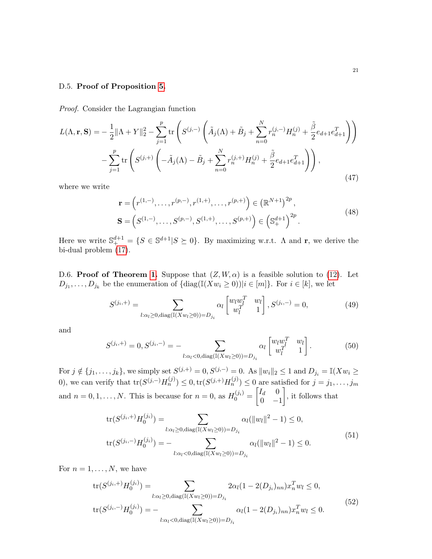## D.5. Proof of Proposition [5.](#page-6-2)

Proof. Consider the Lagrangian function

$$
L(\Lambda, \mathbf{r}, \mathbf{S}) = -\frac{1}{2} ||\Lambda + Y||_2^2 - \sum_{j=1}^p \text{tr} \left( S^{(j,-)} \left( \tilde{A}_j(\Lambda) + \tilde{B}_j + \sum_{n=0}^N r_n^{(j,-)} H_n^{(j)} + \frac{\tilde{\beta}}{2} e_{d+1} e_{d+1}^T \right) \right) - \sum_{j=1}^p \text{tr} \left( S^{(j,+)} \left( -\tilde{A}_j(\Lambda) - \tilde{B}_j + \sum_{n=0}^N r_n^{(j,+)} H_n^{(j)} + \frac{\tilde{\beta}}{2} e_{d+1} e_{d+1}^T \right) \right), \tag{47}
$$

where we write

$$
\mathbf{r} = \left(r^{(1,-)}, \ldots, r^{(p,-)}, r^{(1,+)}, \ldots, r^{(p,+)}\right) \in \left(\mathbb{R}^{N+1}\right)^{2p},
$$
\n
$$
\mathbf{S} = \left(S^{(1,-)}, \ldots, S^{(p,-)}, S^{(1,+)}, \ldots, S^{(p,+)}\right) \in \left(\mathbb{S}^{d+1}_+\right)^{2p}.
$$
\n(48)

Here we write  $\mathbb{S}_{+}^{d+1} = \{ S \in \mathbb{S}^{d+1} | S \succeq 0 \}$ . By maximizing w.r.t.  $\Lambda$  and **r**, we derive the bi-dual problem [\(17\)](#page-6-0).

D.6. Proof of Theorem [1.](#page-6-1) Suppose that  $(Z, W, \alpha)$  is a feasible solution to [\(12\)](#page-4-2). Let  $D_{j_1}, \ldots, D_{j_k}$  be the enumeration of  $\{\text{diag}(\mathbb{I}(Xw_i \geq 0)) | i \in [m]\}.$  For  $i \in [k]$ , we let

$$
S^{(j_i,+)} = \sum_{l:\alpha_l \ge 0, \text{diag}(\mathbb{I}(Xw_l \ge 0)) = D_{j_i}} \alpha_l \begin{bmatrix} w_l w_l^T & w_l \\ w_l^T & 1 \end{bmatrix}, S^{(j_i,-)} = 0, \tag{49}
$$

and

$$
S^{(j_i,+)} = 0, S^{(j_i,-)} = -\sum_{l:\alpha_l < 0, \text{diag}(\mathbb{I}(Xw_l \ge 0)) = D_{j_i}} \alpha_l \begin{bmatrix} w_l w_l^T & w_l \\ w_l^T & 1 \end{bmatrix} . \tag{50}
$$

For  $j \notin \{j_1, \ldots, j_k\}$ , we simply set  $S^{(j, +)} = 0$ ,  $S^{(j, -)} = 0$ . As  $||w_i||_2 \le 1$  and  $D_{j_i} = \mathbb{I}(Xw_i \ge 1)$ 0), we can verify that  $tr(S^{(j,-)}H_n^{(j)}) \leq 0, tr(S^{(j,+)}H_n^{(j)}) \leq 0$  are satisfied for  $j = j_1, \ldots, j_m$ and  $n = 0, 1, ..., N$ . This is because for  $n = 0$ , as  $H_0^{(j_i)} = \begin{bmatrix} I_d & 0 \\ 0 & -I_d \end{bmatrix}$  $0 -1$ , it follows that

$$
tr(S^{(j_i,+)}H_0^{(j_i)}) = \sum_{l:\alpha_l\geq 0, \text{diag}(\mathbb{I}(Xw_l\geq 0))=D_{j_i}} \alpha_l(\|w_l\|^2 - 1) \leq 0,
$$
  

$$
tr(S^{(j_i,-)}H_0^{(j_i)}) = - \sum_{l:\alpha_l< 0, \text{diag}(\mathbb{I}(Xw_l\geq 0))=D_{j_i}} \alpha_l(\|w_l\|^2 - 1) \leq 0.
$$
 (51)

For  $n = 1, \ldots, N$ , we have

$$
tr(S^{(j_i,+)}H_0^{(j_i)}) = \sum_{l:\alpha_l\geq 0, \text{diag}(\mathbb{I}(Xw_l\geq 0))=D_{j_i}} 2\alpha_l(1-2(D_{j_i})_{nn})x_n^T w_l \leq 0,
$$
  

$$
tr(S^{(j_i,-)}H_0^{(j_i)}) = -\sum_{l:\alpha_l< 0, \text{diag}(\mathbb{I}(Xw_l\geq 0))=D_{j_i}} \alpha_l(1-2(D_{j_i})_{nn})x_n^T w_l \leq 0.
$$
  
(52)